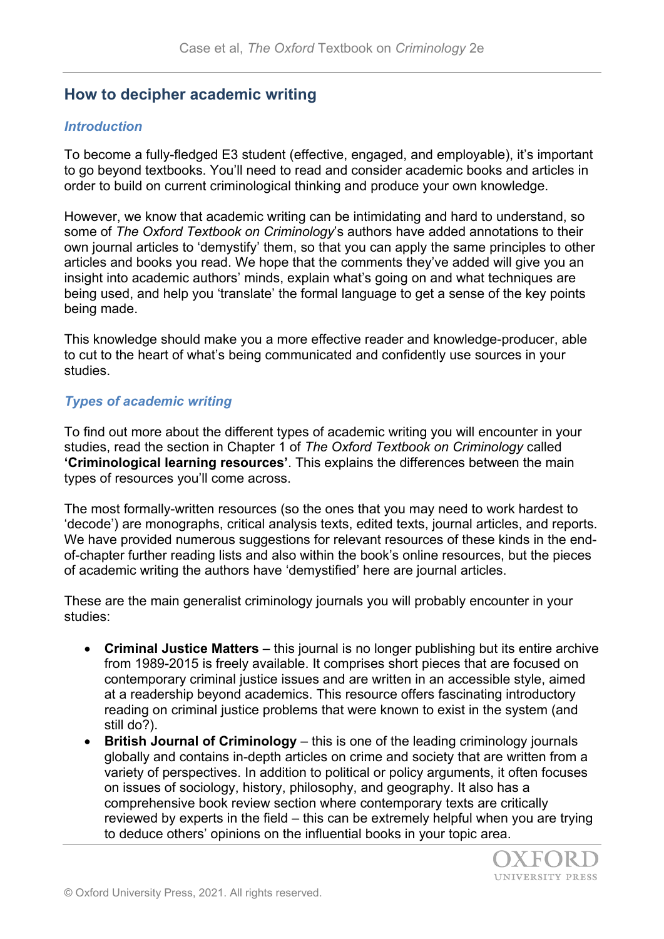## **How to decipher academic writing**

## *Introduction*

To become a fully-fledged E3 student (effective, engaged, and employable), it's important to go beyond textbooks. You'll need to read and consider academic books and articles in order to build on current criminological thinking and produce your own knowledge.

However, we know that academic writing can be intimidating and hard to understand, so some of *The Oxford Textbook on Criminology*'s authors have added annotations to their own journal articles to 'demystify' them, so that you can apply the same principles to other articles and books you read. We hope that the comments they've added will give you an insight into academic authors' minds, explain what's going on and what techniques are being used, and help you 'translate' the formal language to get a sense of the key points being made.

This knowledge should make you a more effective reader and knowledge-producer, able to cut to the heart of what's being communicated and confidently use sources in your studies.

## *Types of academic writing*

To find out more about the different types of academic writing you will encounter in your studies, read the section in Chapter 1 of *The Oxford Textbook on Criminology* called **'Criminological learning resources'**. This explains the differences between the main types of resources you'll come across.

The most formally-written resources (so the ones that you may need to work hardest to 'decode') are monographs, critical analysis texts, edited texts, journal articles, and reports. We have provided numerous suggestions for relevant resources of these kinds in the endof-chapter further reading lists and also within the book's online resources, but the pieces of academic writing the authors have 'demystified' here are journal articles.

These are the main generalist criminology journals you will probably encounter in your studies:

- **Criminal Justice Matters** this journal is no longer publishing but its entire archive from 1989-2015 is freely available. It comprises short pieces that are focused on contemporary criminal justice issues and are written in an accessible style, aimed at a readership beyond academics. This resource offers fascinating introductory reading on criminal justice problems that were known to exist in the system (and still do?).
- **British Journal of Criminology** this is one of the leading criminology journals globally and contains in-depth articles on crime and society that are written from a variety of perspectives. In addition to political or policy arguments, it often focuses on issues of sociology, history, philosophy, and geography. It also has a comprehensive book review section where contemporary texts are critically reviewed by experts in the field – this can be extremely helpful when you are trying to deduce others' opinions on the influential books in your topic area.

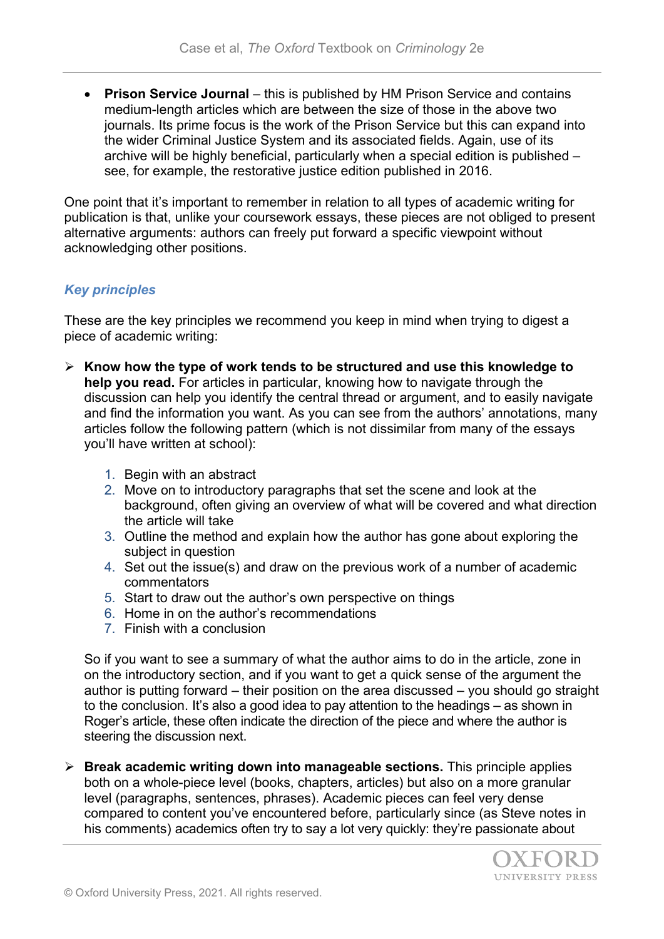• **Prison Service Journal** – this is published by HM Prison Service and contains medium-length articles which are between the size of those in the above two journals. Its prime focus is the work of the Prison Service but this can expand into the wider Criminal Justice System and its associated fields. Again, use of its archive will be highly beneficial, particularly when a special edition is published – see, for example, the restorative justice edition published in 2016.

One point that it's important to remember in relation to all types of academic writing for publication is that, unlike your coursework essays, these pieces are not obliged to present alternative arguments: authors can freely put forward a specific viewpoint without acknowledging other positions.

## *Key principles*

These are the key principles we recommend you keep in mind when trying to digest a piece of academic writing:

- **Know how the type of work tends to be structured and use this knowledge to help you read.** For articles in particular, knowing how to navigate through the discussion can help you identify the central thread or argument, and to easily navigate and find the information you want. As you can see from the authors' annotations, many articles follow the following pattern (which is not dissimilar from many of the essays you'll have written at school):
	- 1. Begin with an abstract
	- 2. Move on to introductory paragraphs that set the scene and look at the background, often giving an overview of what will be covered and what direction the article will take
	- 3. Outline the method and explain how the author has gone about exploring the subject in question
	- 4. Set out the issue(s) and draw on the previous work of a number of academic commentators
	- 5. Start to draw out the author's own perspective on things
	- 6. Home in on the author's recommendations
	- 7. Finish with a conclusion

So if you want to see a summary of what the author aims to do in the article, zone in on the introductory section, and if you want to get a quick sense of the argument the author is putting forward – their position on the area discussed – you should go straight to the conclusion. It's also a good idea to pay attention to the headings – as shown in Roger's article, these often indicate the direction of the piece and where the author is steering the discussion next.

 **Break academic writing down into manageable sections.** This principle applies both on a whole-piece level (books, chapters, articles) but also on a more granular level (paragraphs, sentences, phrases). Academic pieces can feel very dense compared to content you've encountered before, particularly since (as Steve notes in his comments) academics often try to say a lot very quickly: they're passionate about